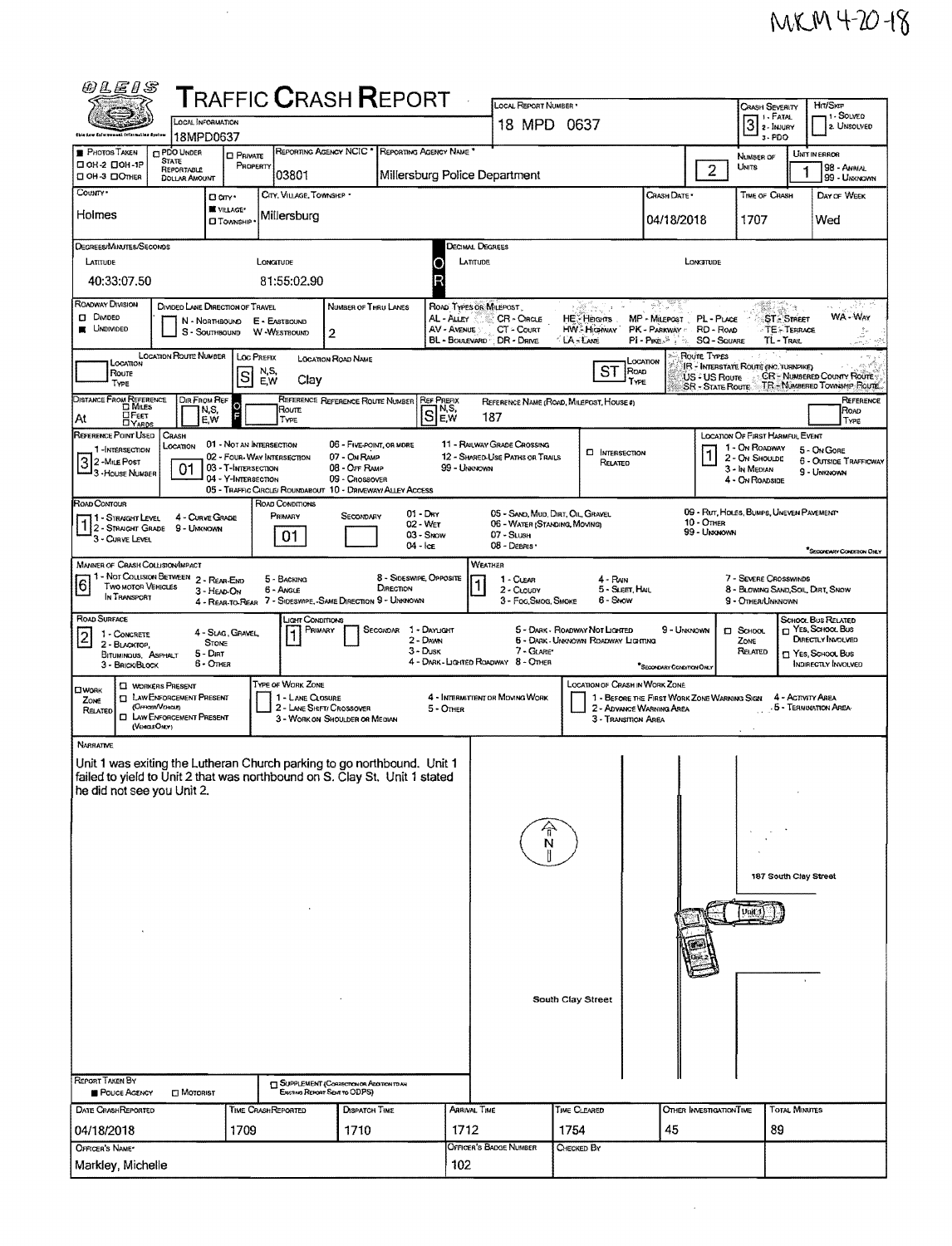| <i>@LEIS</i>                                                                                                                                          |                                                                           |                                                   |                                               | <b>T</b> RAFFIC <b>C</b> RASH <b>R</b> EPORT                                  |                                      |                                   | LOCAL REPORT NUMBER *                                        |                                                                              |                                                                          |                                          |                                                                                                                                                                                          |                                        | Hrt/SkrP                                                         |  |
|-------------------------------------------------------------------------------------------------------------------------------------------------------|---------------------------------------------------------------------------|---------------------------------------------------|-----------------------------------------------|-------------------------------------------------------------------------------|--------------------------------------|-----------------------------------|--------------------------------------------------------------|------------------------------------------------------------------------------|--------------------------------------------------------------------------|------------------------------------------|------------------------------------------------------------------------------------------------------------------------------------------------------------------------------------------|----------------------------------------|------------------------------------------------------------------|--|
|                                                                                                                                                       | <b>LOCAL INFORMATION</b>                                                  |                                                   |                                               |                                                                               |                                      |                                   | 18 MPD 0637                                                  |                                                                              |                                                                          |                                          | Crash Severity<br>1 - FATAL<br>$3$ $\overline{\phantom{a}}$ $\overline{\phantom{a}}$ $\overline{\phantom{a}}$ $\overline{\phantom{a}}$ $\overline{\phantom{a}}$ $\overline{\phantom{a}}$ |                                        | 1 - SOLVED<br>2. UNSOLVED                                        |  |
|                                                                                                                                                       | 18MPD0637                                                                 |                                                   |                                               | REPORTING AGENCY NCIC * REPORTING AGENCY NAME *                               |                                      |                                   |                                                              |                                                                              |                                                                          |                                          | 3-PDO                                                                                                                                                                                    |                                        |                                                                  |  |
| PHOTOS TAKEN<br><b>DOH-2 DOH-1P</b><br>CI OH-3 CIOTHER                                                                                                | <b>CI PDO UNDER</b><br><b>STATE</b><br>REPORTABLE<br><b>DOLLAR AMOUNT</b> | <b>D</b> PRIVATE<br>PROPERTY                      | 03801                                         |                                                                               |                                      |                                   | Millersburg Police Department                                |                                                                              |                                                                          | $\overline{2}$                           | NUMBER OF<br>Units                                                                                                                                                                       |                                        | UNIT IN ERROR<br>98 - ANIMAL<br>99 UNXNOWN                       |  |
| COUNTY*<br>Holmes                                                                                                                                     | Dan <sup>.</sup>                                                          | W VILLAGE*                                        | CITY, VILLAGE, TOWNSHIP *<br> Millersburg     |                                                                               |                                      |                                   |                                                              |                                                                              | CRASH DATE                                                               |                                          | TIME OF CRASH                                                                                                                                                                            |                                        | DAY OF WEEK                                                      |  |
|                                                                                                                                                       |                                                                           | <b>CI TOWNSHIP</b>                                |                                               |                                                                               |                                      |                                   |                                                              |                                                                              | 04/18/2018                                                               |                                          | 1707                                                                                                                                                                                     |                                        | Wed                                                              |  |
| DEGREES/MINUTES/SECONDS<br>LATITUDE                                                                                                                   |                                                                           |                                                   | LONGITUDE                                     |                                                                               |                                      | 0                                 | Decimal Degrees<br><b>LATITUDE</b>                           |                                                                              |                                                                          | LONGITUDE                                |                                                                                                                                                                                          |                                        |                                                                  |  |
| 40:33:07.50                                                                                                                                           |                                                                           |                                                   | 81:55:02.90                                   |                                                                               |                                      |                                   |                                                              |                                                                              |                                                                          |                                          |                                                                                                                                                                                          |                                        |                                                                  |  |
| ROADWAY DIVISION                                                                                                                                      | DIVIDED LANE DIRECTION OF TRAVEL                                          |                                                   |                                               | NUMBER OF THRU LANES                                                          |                                      |                                   | ROAD TYPES OR MILEPOST                                       | $\mathcal{L}$                                                                |                                                                          |                                          | <b>KO</b>                                                                                                                                                                                | a Ca                                   |                                                                  |  |
| <b>D</b> DMDED<br><b>UNDIVIDED</b>                                                                                                                    | N - NORTHBOUND<br>S - SOUTHBOUND                                          |                                                   | E - EASTBOUND<br>W-WESTBOUND                  | $\overline{2}$                                                                |                                      | AL - Auey<br>AV - AVENUE          | CR - CIRCLE<br>CT - COURT<br>BL - BOULEVARD DR - DRIVE       | HE-Hearts<br><b>HW. Highway</b><br><b>LA-LANE</b>                            | MP - Milepost PL - PLACE<br>PK - PARKWAY : RD - ROAD<br>$PI - P_{IKE}$ . | SQ - SQUARE                              | TL-TRAIL                                                                                                                                                                                 | <b>ST. STREET</b><br><b>TESTERRACE</b> | WA-Way                                                           |  |
| LOCATION                                                                                                                                              | LOCATION ROUTE NUMBER                                                     | LOC PREFIX                                        |                                               | <b>LOCATION ROAD NAME</b>                                                     |                                      |                                   |                                                              |                                                                              | Location                                                                 | Roure Types                              | IR - INTERSTATE ROUTE (INC. TURNPIKE)                                                                                                                                                    |                                        |                                                                  |  |
| Route<br>TYPE                                                                                                                                         |                                                                           | N,S,<br>S<br>E,W                                  | Clay                                          |                                                                               |                                      |                                   |                                                              | ST<br>Road<br>TYPE                                                           |                                                                          | US-4 US Roure<br><b>SR - STATE ROUTE</b> |                                                                                                                                                                                          |                                        | <b>CR-NUMBERED COUNTY ROUTE:</b><br>TR - NÚMBERED TOWNSHIP ROUTE |  |
| DISTANCE FROM REFERENCE<br>⊔Р∈єт<br>At<br><b>DYARDS</b>                                                                                               | DIR FROM REF<br>N,S,<br>E.W                                               |                                                   | Route<br>TYPE                                 | REFERENCE REFERENCE ROUTE NUMBER                                              | ls                                   | <b>REF PREFIX</b><br>N,S,<br> E,W | 187                                                          | REFERENCE NAME (ROAD, MILEPOST, HOUSE #)                                     |                                                                          |                                          |                                                                                                                                                                                          |                                        | REFERENCE<br>Road<br>TYPE                                        |  |
| REFERENCE POINT USED<br>1-INTERSECTION                                                                                                                | CRASH<br>LOCATION                                                         | 01 - NOT AN INTERSECTION                          |                                               | 06 - FIVE-POINT, OR MORE                                                      |                                      |                                   | 11 - RAILWAY GRADE CROSSING                                  |                                                                              |                                                                          |                                          | LOCATION OF FIRST HARMFUL EVENT<br>1 - On Roadway                                                                                                                                        |                                        | 5 - On Gore                                                      |  |
| 3 2 - MiLE Post<br>3 - House Number                                                                                                                   | 01                                                                        | 02 - FOUR-WAY INTERSECTION<br>03 - T-INTERSECTION |                                               | 07 - On RAMP<br>08 - OFF RAMP                                                 |                                      | 99 - Unixnown                     | 12 - SHARED-USE PATHS OR TRAILS                              | <b>D</b> INTERSECTION<br>RELATED                                             |                                                                          |                                          | 2 - On Shoulde<br>3 - In Median                                                                                                                                                          |                                        | <b>6 - OUTSIDE TRAFFICWAY</b><br>9 - UNKNOWN                     |  |
|                                                                                                                                                       |                                                                           | 04 - Y-INTERSECTION                               |                                               | 09 - Crossover<br>05 - TRAFFIC CIRCLE/ ROUNDABOUT 10 - DRIVEWAY/ ALLEY ACCESS |                                      |                                   |                                                              |                                                                              |                                                                          |                                          | 4 - ON ROADSIDE                                                                                                                                                                          |                                        |                                                                  |  |
| ROAD CONTOUR<br>11 - Straight Level                                                                                                                   | 4 - CURVE GRADE                                                           |                                                   | ROAD CONDITIONS<br>PRIMARY                    | SECONDARY                                                                     | $01 - Draw$                          |                                   | 05 - SAND, MUD, DIRT, OIL, GRAVEL                            |                                                                              |                                                                          |                                          | 09 - Rut, HOLES, BUMPS, UNEVEN PAVEMENT                                                                                                                                                  |                                        |                                                                  |  |
| 1 2 - STRAIGHT GRADE 9 - UNKNOWN<br>3 - CURVE LEVEL                                                                                                   |                                                                           |                                                   | 01                                            |                                                                               | 02 - Wet<br>03 - Show<br>04 - Ice    |                                   | 06 - WATER (STANDING, MOVING)<br>$07 -$ SLUSH<br>08 - DEBRIS |                                                                              |                                                                          | $10 -$ OTHER<br>99 - Unknown             |                                                                                                                                                                                          |                                        |                                                                  |  |
| <b>MANNER OF CRASH COLLISION/IMPACT</b>                                                                                                               |                                                                           |                                                   |                                               |                                                                               |                                      |                                   | WEATHER                                                      |                                                                              |                                                                          |                                          |                                                                                                                                                                                          |                                        | <sup>*</sup> SECONDARY CONDITION ONLY                            |  |
| 11 - Not Coulsion Between 2 - Rear-End<br>6<br><b>TWO MOTOR VEHICLES</b><br>IN TRANSPORT                                                              | 3 - HEAD-ON                                                               |                                                   | 5 - BACKING<br>6 - Angle                      |                                                                               | 8 - Sideswipe, Opposite<br>DIRECTION |                                   | 1 - CLEAR<br>2 - CLOUDY                                      | 4 - Rain<br>5 - Sleet, Hall                                                  |                                                                          |                                          | 7 - SEVERE CROSSWINDS<br>8 - Blowing Sand, Soil, DRT, Snow                                                                                                                               |                                        |                                                                  |  |
| ROAD SURFACE                                                                                                                                          |                                                                           |                                                   | JGHT CONDITIONS                               | 4 - REAR-TO-REAR 7 - SIDESWIPE, - SAME DIRECTION 9 - UNKNOWN                  |                                      |                                   | 3 - Foo, Smog, Smoke                                         | 6 - Snow                                                                     |                                                                          |                                          | 9 - OTHER/UNKNOWN                                                                                                                                                                        |                                        | SCHOOL BUS RELATED                                               |  |
| 1 - CONCRETE<br>$\mathbf{2}$                                                                                                                          | <b>STONE</b>                                                              | 4 - Slag, Gravel,                                 | PRIMARY                                       |                                                                               | SECONDAR<br>2 - Dawn                 | 1 - DAYLIGHT                      |                                                              | 5 - DARK - ROADWAY NOT LIGHTED<br><b>5 - DARK - UNKNOWN ROADWAY LIGHTING</b> | 9 - UNKNOWN                                                              |                                          | <b>D</b> SCHOOL<br>ZONE                                                                                                                                                                  |                                        | T YES, SCHOOL Bus<br>DIRECTLY INVOLVED                           |  |
| 2 - BLACKTOP,<br>BITUMINOUS, ASPHALT<br>3 - BRICK/BLOCK                                                                                               | 5 - Dirt<br>6 - Other                                                     |                                                   |                                               |                                                                               | 3 - Dusk                             |                                   | 7 - GLARE*<br>4 - DARK - LIGHTED ROADWAY 8 - OTHER           |                                                                              |                                                                          |                                          | Related                                                                                                                                                                                  |                                        | <b>TT YES, SCHOOL BUS</b><br>INDIRECTLY INVOLVED                 |  |
| <b>CI WORKERS PRESENT</b><br><b>CI WORK</b>                                                                                                           |                                                                           |                                                   | <b>TYPE OF WORK ZONE</b>                      |                                                                               |                                      |                                   |                                                              | LOCATION OF CRASH IN WORK ZONE                                               | "SECONDARY CONDITION ONLY                                                |                                          |                                                                                                                                                                                          |                                        |                                                                  |  |
| ZONE<br>(OFFICER/VEHICLE)<br>RELATED<br>(VENCLEONLY)                                                                                                  | <b>I LAW ENFORCEMENT PRESENT</b><br><b>CI LAW ENFORCEMENT PRESENT</b>     |                                                   | 1 - LANE CLOSURE<br>2 - LANE SHIFT/ CROSSOVER | 3 - WORK ON SHOULDER OR MEDIAN                                                |                                      | 5 - OTHER                         | 4 - INTERMITTENT OR MOVING WORK                              | 3 - Transmon Area                                                            | 1 - BEFORE THE FIRST WORK ZONE WARNING SIGN<br>2 - ADVANCE WARNING AREA  |                                          |                                                                                                                                                                                          | 4 - ACTIVITY AREA                      | .5 - TERMINATION AREA-                                           |  |
| NARRATIVE                                                                                                                                             |                                                                           |                                                   |                                               |                                                                               |                                      |                                   |                                                              |                                                                              |                                                                          |                                          |                                                                                                                                                                                          |                                        |                                                                  |  |
| Unit 1 was exiting the Lutheran Church parking to go northbound. Unit 1<br>failed to yield to Unit 2 that was northbound on S. Clay St. Unit 1 stated |                                                                           |                                                   |                                               |                                                                               |                                      |                                   |                                                              |                                                                              |                                                                          |                                          |                                                                                                                                                                                          |                                        |                                                                  |  |
| he did not see you Unit 2.                                                                                                                            |                                                                           |                                                   |                                               |                                                                               |                                      |                                   |                                                              |                                                                              |                                                                          |                                          |                                                                                                                                                                                          |                                        |                                                                  |  |
|                                                                                                                                                       |                                                                           |                                                   |                                               |                                                                               |                                      |                                   |                                                              |                                                                              |                                                                          |                                          |                                                                                                                                                                                          |                                        |                                                                  |  |
|                                                                                                                                                       |                                                                           |                                                   |                                               |                                                                               |                                      |                                   | N                                                            |                                                                              |                                                                          |                                          |                                                                                                                                                                                          |                                        |                                                                  |  |
|                                                                                                                                                       |                                                                           |                                                   |                                               |                                                                               |                                      |                                   |                                                              |                                                                              |                                                                          |                                          |                                                                                                                                                                                          |                                        |                                                                  |  |
|                                                                                                                                                       |                                                                           |                                                   |                                               |                                                                               |                                      |                                   | 187 South Clay Street                                        |                                                                              |                                                                          |                                          |                                                                                                                                                                                          |                                        |                                                                  |  |
|                                                                                                                                                       |                                                                           |                                                   |                                               |                                                                               |                                      |                                   | Unit 1                                                       |                                                                              |                                                                          |                                          |                                                                                                                                                                                          |                                        |                                                                  |  |
|                                                                                                                                                       |                                                                           |                                                   |                                               |                                                                               |                                      |                                   |                                                              |                                                                              |                                                                          |                                          |                                                                                                                                                                                          |                                        |                                                                  |  |
|                                                                                                                                                       |                                                                           |                                                   |                                               |                                                                               |                                      |                                   |                                                              |                                                                              |                                                                          |                                          |                                                                                                                                                                                          |                                        |                                                                  |  |
|                                                                                                                                                       |                                                                           |                                                   |                                               |                                                                               |                                      |                                   |                                                              |                                                                              |                                                                          |                                          |                                                                                                                                                                                          |                                        |                                                                  |  |
|                                                                                                                                                       |                                                                           |                                                   |                                               |                                                                               |                                      | South Clay Street                 |                                                              |                                                                              |                                                                          |                                          |                                                                                                                                                                                          |                                        |                                                                  |  |
|                                                                                                                                                       |                                                                           |                                                   |                                               |                                                                               |                                      |                                   |                                                              |                                                                              |                                                                          |                                          |                                                                                                                                                                                          |                                        |                                                                  |  |
|                                                                                                                                                       |                                                                           |                                                   |                                               |                                                                               |                                      |                                   |                                                              |                                                                              |                                                                          |                                          |                                                                                                                                                                                          |                                        |                                                                  |  |
|                                                                                                                                                       |                                                                           |                                                   |                                               |                                                                               |                                      |                                   |                                                              |                                                                              |                                                                          |                                          |                                                                                                                                                                                          |                                        |                                                                  |  |
| <b>REPORT TAKEN BY</b><br><b>POLICE AGENCY</b>                                                                                                        | $\square$ Motorist                                                        |                                                   |                                               | SUPPLEMENT (CORRECTION OR ADDITION TO AN<br>Existing Revolt Seat to ODPS)     |                                      |                                   |                                                              |                                                                              |                                                                          |                                          |                                                                                                                                                                                          |                                        |                                                                  |  |
| DATE CRASHREPORTED                                                                                                                                    |                                                                           | TIME CRASHREPORTED                                |                                               | <b>DISPATCH TIME</b>                                                          |                                      | Arrival Time                      |                                                              | TIME CLEARED                                                                 |                                                                          | OTHER INVESTIGATION TIME                 |                                                                                                                                                                                          | <b>TOTAL MINUTES</b>                   |                                                                  |  |
| 04/18/2018<br>OFFICER'S NAME*                                                                                                                         |                                                                           | 1709                                              |                                               | 1710                                                                          |                                      | 1712                              | OFFICER'S BADGE NUMBER                                       | 1754<br>CHECKED BY                                                           | 45                                                                       |                                          | 89                                                                                                                                                                                       |                                        |                                                                  |  |
| Markley, Michelle                                                                                                                                     |                                                                           |                                                   |                                               |                                                                               |                                      | 102                               |                                                              |                                                                              |                                                                          |                                          |                                                                                                                                                                                          |                                        |                                                                  |  |

 $\mathcal{L}^{\text{max}}_{\text{max}}$ 

 $\sim 10$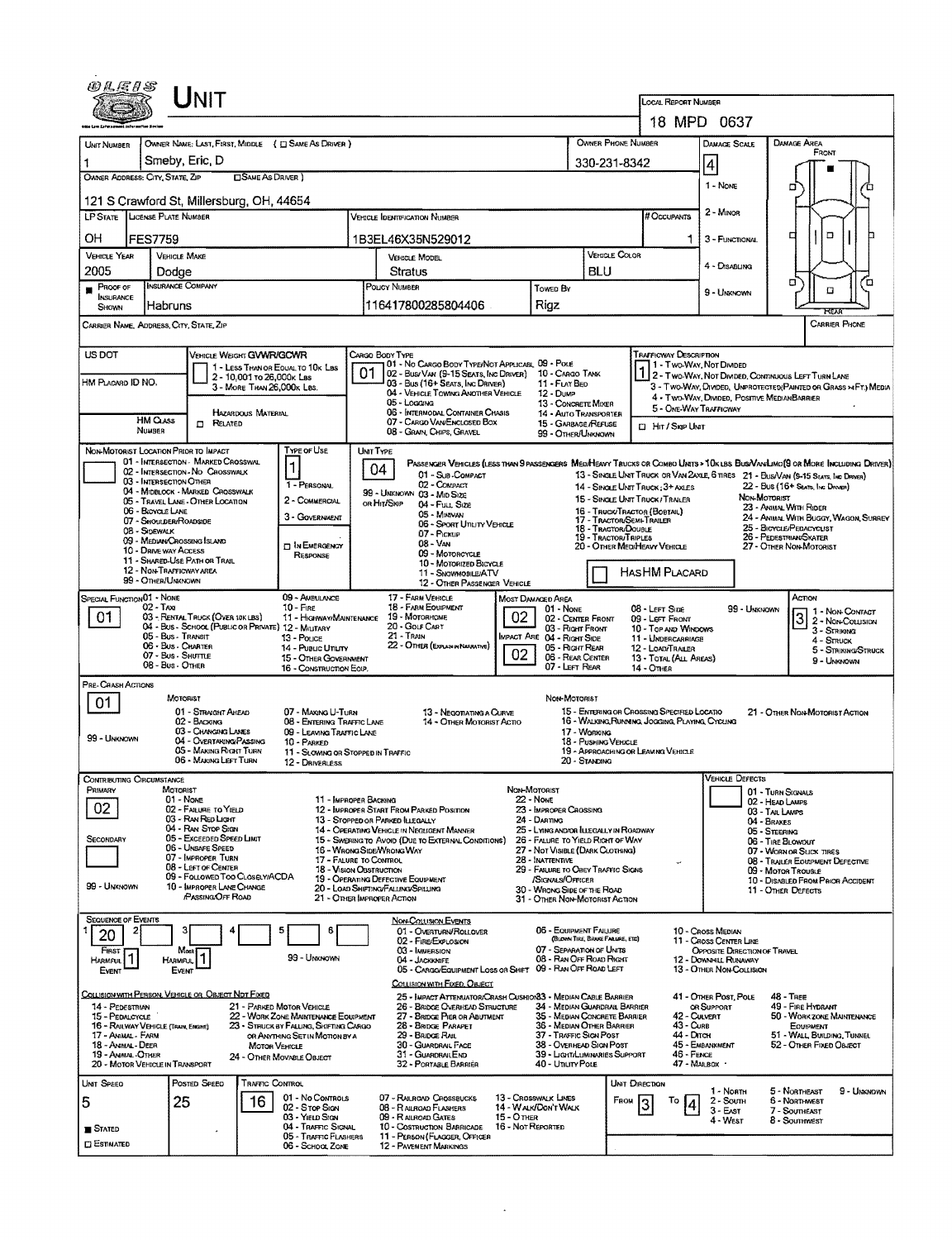|                                                                            |                                                                        | Unit                                                                                   |                                                         |                                                                                                            |                                                                                                                              |                                                                                                                                                        |                                                                            |                                                                                            |                                                               |                                                                                                                                                  |                                                                                                                                                            |                                                                                 |                                                                                                                               |  |  |  |  |
|----------------------------------------------------------------------------|------------------------------------------------------------------------|----------------------------------------------------------------------------------------|---------------------------------------------------------|------------------------------------------------------------------------------------------------------------|------------------------------------------------------------------------------------------------------------------------------|--------------------------------------------------------------------------------------------------------------------------------------------------------|----------------------------------------------------------------------------|--------------------------------------------------------------------------------------------|---------------------------------------------------------------|--------------------------------------------------------------------------------------------------------------------------------------------------|------------------------------------------------------------------------------------------------------------------------------------------------------------|---------------------------------------------------------------------------------|-------------------------------------------------------------------------------------------------------------------------------|--|--|--|--|
|                                                                            |                                                                        |                                                                                        |                                                         |                                                                                                            |                                                                                                                              |                                                                                                                                                        |                                                                            |                                                                                            |                                                               |                                                                                                                                                  | <b>LOCAL REPORT NUMBER</b>                                                                                                                                 | 18 MPD 0637                                                                     |                                                                                                                               |  |  |  |  |
| UNIT NUMBER                                                                |                                                                        |                                                                                        |                                                         | OWNER NAME: LAST, FIRST, MIDDLE ( C) SAME AS DRIVER }                                                      |                                                                                                                              |                                                                                                                                                        |                                                                            |                                                                                            |                                                               | OWNER PHONE NUMBER                                                                                                                               |                                                                                                                                                            | <b>DAMAGE SCALE</b>                                                             | Damage Area                                                                                                                   |  |  |  |  |
|                                                                            | Smeby, Eric, D                                                         |                                                                                        |                                                         |                                                                                                            |                                                                                                                              |                                                                                                                                                        |                                                                            |                                                                                            | 330-231-8342                                                  |                                                                                                                                                  |                                                                                                                                                            | 4                                                                               | FRONT                                                                                                                         |  |  |  |  |
| OWNER ADDRESS: CITY, STATE, ZIP                                            |                                                                        |                                                                                        | <b>CONE AS DRIVER</b>                                   |                                                                                                            |                                                                                                                              |                                                                                                                                                        |                                                                            |                                                                                            |                                                               |                                                                                                                                                  |                                                                                                                                                            | 1 - None                                                                        | ۵                                                                                                                             |  |  |  |  |
| 121 S Crawford St, Millersburg, OH, 44654                                  |                                                                        |                                                                                        |                                                         |                                                                                                            | 2 - Minon                                                                                                                    |                                                                                                                                                        |                                                                            |                                                                                            |                                                               |                                                                                                                                                  |                                                                                                                                                            |                                                                                 |                                                                                                                               |  |  |  |  |
| LP STATE LICENSE PLATE NUMBER                                              |                                                                        |                                                                                        |                                                         |                                                                                                            |                                                                                                                              | <b>VEHICLE IDENTIFICATION NUMBER</b>                                                                                                                   |                                                                            |                                                                                            |                                                               |                                                                                                                                                  | # Occupants                                                                                                                                                |                                                                                 |                                                                                                                               |  |  |  |  |
| OН<br><b>VEHICLE YEAR</b>                                                  | <b>FES7759</b><br><b>VEHICLE MAKE</b>                                  |                                                                                        |                                                         |                                                                                                            |                                                                                                                              | 1B3EL46X35N529012                                                                                                                                      |                                                                            |                                                                                            | <b>VEHICLE COLOR</b>                                          |                                                                                                                                                  | 1.                                                                                                                                                         | 3 - FUNCTIONAL                                                                  | ۵<br>о                                                                                                                        |  |  |  |  |
| 2005                                                                       | Dodge                                                                  |                                                                                        |                                                         |                                                                                                            |                                                                                                                              | <b>VERGLE MODEL</b><br>Stratus                                                                                                                         |                                                                            | <b>BLU</b>                                                                                 |                                                               |                                                                                                                                                  | 4 - DISABLING                                                                                                                                              |                                                                                 |                                                                                                                               |  |  |  |  |
| $P$ ROOF OF<br>INSURANCE                                                   | <b>INSURANCE COMPANY</b>                                               |                                                                                        |                                                         |                                                                                                            |                                                                                                                              | POUCY NUMBER                                                                                                                                           | Towen By                                                                   |                                                                                            |                                                               |                                                                                                                                                  | 9 - UNKNOWN                                                                                                                                                | σ<br>n<br>O                                                                     |                                                                                                                               |  |  |  |  |
| SHOWN                                                                      | Habruns                                                                |                                                                                        |                                                         |                                                                                                            |                                                                                                                              | 116417800285804406                                                                                                                                     |                                                                            | <b>Rigz</b>                                                                                |                                                               |                                                                                                                                                  |                                                                                                                                                            |                                                                                 |                                                                                                                               |  |  |  |  |
| CARRIER NAME, ADDRESS, CITY, STATE, ZIP                                    |                                                                        |                                                                                        |                                                         |                                                                                                            |                                                                                                                              |                                                                                                                                                        |                                                                            |                                                                                            |                                                               |                                                                                                                                                  |                                                                                                                                                            |                                                                                 | <b>CARRIER PHONE</b>                                                                                                          |  |  |  |  |
| US DOT                                                                     |                                                                        | VEHICLE WEIGHT GWWR/GCWR                                                               |                                                         |                                                                                                            |                                                                                                                              | CARGO BODY TYPE<br>01 - No CARGO BODY TYPE/NOT APPLICABL 09 - POLE                                                                                     |                                                                            |                                                                                            |                                                               |                                                                                                                                                  | <b>TRAFFICWAY DESCRIPTION</b>                                                                                                                              | 11 - Two-Way, Not Divided                                                       |                                                                                                                               |  |  |  |  |
| HM PLACARD ID NO.                                                          |                                                                        |                                                                                        | 2 - 10,001 то 26,000к Las<br>3 - MORE THAN 26,000K LBS. | 1 - LESS THAN OR EQUAL TO 10K LBS                                                                          | 01                                                                                                                           | 02 - Bus/VAN (9-15 SEATS, INC DRIVER)<br>03 - Bus (16+ Seats, Inc Driver)                                                                              |                                                                            | 10 - Cargo TANK<br>11 - FLAT BED                                                           |                                                               |                                                                                                                                                  |                                                                                                                                                            |                                                                                 | 2 - Two-Way, Not Divided, Continuous LEFT TURN LANE<br>3 - TWO-WAY, DIVIDED, UNPROTECTED(PAINTED OR GRASS > AFT.) MEDIA       |  |  |  |  |
|                                                                            |                                                                        |                                                                                        |                                                         |                                                                                                            |                                                                                                                              | 04 - VEHICLE TOWING ANOTHER VEHICLE<br>05 - Logging                                                                                                    |                                                                            | 12 - DuмP<br>13 - CONCRETE MIXER                                                           |                                                               |                                                                                                                                                  |                                                                                                                                                            | 4 - Two-Way, Divided, Positive MedianBarrier<br>5 - ONE-WAY TRAFFICWAY          |                                                                                                                               |  |  |  |  |
|                                                                            | HM CLASS<br>NUMBER                                                     | $\Box$ Related                                                                         | HAZARDOUS MATERIAL                                      |                                                                                                            |                                                                                                                              | 06 - INTERMODAL CONTAINER CHASIS<br>07 - CARGO VAN ENCLOSED BOX                                                                                        |                                                                            | 14 - Auto Transporter<br>15 - GARBAGE /REFUSE                                              |                                                               |                                                                                                                                                  | CI Hir / Sign Unit                                                                                                                                         |                                                                                 |                                                                                                                               |  |  |  |  |
| NON-MOTORIST LOCATION PRIOR TO IMPACT                                      |                                                                        |                                                                                        |                                                         | Type or Use                                                                                                | UNIT TYPE                                                                                                                    | 08 - GRAIN, CHIPS, GRAVEL                                                                                                                              |                                                                            | 99 - OTHER/UNKNOWN                                                                         |                                                               |                                                                                                                                                  |                                                                                                                                                            |                                                                                 |                                                                                                                               |  |  |  |  |
|                                                                            |                                                                        | 01 - INTERSECTION - MARKED CROSSWAL<br>02 - INTERSECTION - NO CROSSWALK                |                                                         | $\vert$ 1                                                                                                  |                                                                                                                              | 04<br>01 - SUB-COMPACT                                                                                                                                 |                                                                            |                                                                                            |                                                               |                                                                                                                                                  |                                                                                                                                                            |                                                                                 | PASSENCER VEHICLES (LESS THAN 9 PASSENCERS MEDIMEAVY TRUCKS OR COMBO UNITS > 10K LBS BUS/VAV/LIMO(9 OR MORE INCLUDING DRIVER) |  |  |  |  |
|                                                                            | 03 - INTERSECTION OTHER                                                | 04 - MIDBLOCK - MARKED CROSSWALK                                                       |                                                         | 1 - PERSONAL                                                                                               |                                                                                                                              | 02 - COMPACT<br>99 - UNKNOWN 03 - MID SIZE                                                                                                             |                                                                            |                                                                                            |                                                               |                                                                                                                                                  | 13 - SINGLE UNIT THUCK OR VAN ZAXLE, 6 THES 21 - BUS/VAN (9-15 SEATS, INC DRIVER)<br>22 - BUS (16+ Seats, Inc. Driver)<br>14 - SINGLE UNIT TRUCK: 3+ AXLES |                                                                                 |                                                                                                                               |  |  |  |  |
|                                                                            | 06 - BICYCLE LANE                                                      | 05 - Travel Lane - Other Location                                                      |                                                         | 2 - COMMERCIAL<br>3 - GOVERNMENT                                                                           |                                                                                                                              | OR HIT/SKIP<br>04 - Fuu, Size<br>05 - Minavan                                                                                                          |                                                                            |                                                                                            |                                                               | Non-Moronist<br>15 - SINGLE UNIT TRUCK/TRALER<br>23 - ANIMAL WITH RIDER<br>16 - TRUCK/TRACTOR (BOBTAIL)<br>24 - ANIMAL WITH BUGGY, WAGON, SURREY |                                                                                                                                                            |                                                                                 |                                                                                                                               |  |  |  |  |
|                                                                            | 07 - Shoulder/Roadside<br>08 - SIDEWALK<br>09 - MEDIAN CROSSING ISLAND |                                                                                        |                                                         |                                                                                                            | 17 - Tractor/Semi-Trailer<br>06 - SPORT UTILITY VEHICLE<br>18 - TRACTOR/DOUBLE<br>07 - Pickup<br><b>19 - TRACTOR/TRIPLES</b> |                                                                                                                                                        |                                                                            |                                                                                            |                                                               |                                                                                                                                                  | 25 - BIOYCLE/PEDACYCLIST<br>26 - PEDESTRIAN/SKATER                                                                                                         |                                                                                 |                                                                                                                               |  |  |  |  |
|                                                                            | 10 - DRIVE WAY ACCESS                                                  | 11 - SHARED-USE PATH OR TRAIL                                                          |                                                         | <b>T IN EMERGENCY</b><br>RESPONSE                                                                          | 08 - VAN<br>20 - OTHER MEDIHEAVY VEHICLE<br>09 - MOTORCYCLE<br>10 - Motorizen Bicycle                                        |                                                                                                                                                        |                                                                            |                                                                                            |                                                               |                                                                                                                                                  |                                                                                                                                                            |                                                                                 | 27 - OTHER NON-MOTORIST                                                                                                       |  |  |  |  |
|                                                                            | 12 - NON-TRAFFICWAY AREA<br>99 - OTHER/UNKNOWN                         |                                                                                        |                                                         |                                                                                                            |                                                                                                                              | 11 - SNOWMOBILE/ATV<br>12 - OTHER PASSENGER VEHICLE                                                                                                    |                                                                            |                                                                                            |                                                               | HASHM PLACARD                                                                                                                                    |                                                                                                                                                            |                                                                                 |                                                                                                                               |  |  |  |  |
| SPECIAL FUNCTION01 - NONE                                                  | $02 - T$ Axi                                                           |                                                                                        |                                                         | 09 - AMBULANCE<br>$10 -$ Fire                                                                              |                                                                                                                              | 17 - FARM VEHICLE<br>18 - FARM EQUIPMENT                                                                                                               |                                                                            | MOST DAMAGED AREA                                                                          |                                                               |                                                                                                                                                  |                                                                                                                                                            |                                                                                 | Астом                                                                                                                         |  |  |  |  |
| 01                                                                         |                                                                        | 03 - RENTAL TRUCK (OVER 10KLBS)<br>04 - Bus - SCHOOL (PUBLIC OR PRIVATE) 12 - MILITARY |                                                         |                                                                                                            |                                                                                                                              | 11 - HIGHWAY/MAINTENANCE 19 - MOTORHOME<br>20 - Gour Cart                                                                                              | 02                                                                         | 01 - None<br>02 - CENTER FRONT<br>03 - Right Front                                         |                                                               | 08 - LEFT SIDE<br>09 - LEFT FRONT                                                                                                                | 10 - TOP AND WINDOWS                                                                                                                                       | 99 - Unknown                                                                    | 1 1 • Non Contact<br>2 - Non-Couusion                                                                                         |  |  |  |  |
|                                                                            | 05 - Bus - Transit<br>06 - Bus - Charter                               |                                                                                        |                                                         | 13 - Pouce<br>14 - Pueuc Ununy                                                                             |                                                                                                                              | $21 -$ TRAIN<br>22 - OTHER (EXPLAN IN NARRATIVE)                                                                                                       |                                                                            | MPACT ARE 04 - RIGHT SIDE<br>05 - Right Rear                                               |                                                               | 12 - LOAD/TRAILER                                                                                                                                | 11 - UNDERCARRIAGE                                                                                                                                         |                                                                                 | 3 - Striking<br>4 - STRUCK<br>5 - STRIKING/STRUCK                                                                             |  |  |  |  |
|                                                                            | 07 - Bus - Shuttle<br>08 - Bus - OTHER                                 |                                                                                        |                                                         | 15 - OTHER GOVERNMENT<br>16 - CONSTRUCTION EQP.                                                            |                                                                                                                              |                                                                                                                                                        | 02                                                                         | 06 - REAR CENTER<br>07 - LEFT REAR                                                         |                                                               | 14 - Отнев                                                                                                                                       | 13 - TOTAL (ALL AREAS)                                                                                                                                     |                                                                                 | 9 - UNKNOWN                                                                                                                   |  |  |  |  |
| PRE-CRASH ACTIONS                                                          |                                                                        |                                                                                        |                                                         |                                                                                                            |                                                                                                                              |                                                                                                                                                        |                                                                            |                                                                                            |                                                               |                                                                                                                                                  |                                                                                                                                                            |                                                                                 |                                                                                                                               |  |  |  |  |
| 01                                                                         | <b>MOTORIST</b>                                                        | 01 - STRAIGHT AHEAD                                                                    |                                                         | 07 - MAKING U-TURN                                                                                         |                                                                                                                              | 13 - Negotiating a Curve                                                                                                                               |                                                                            | NON-MOTORIST                                                                               |                                                               | 15 - ENTERING OR CROSSING SPECIFIED LOCATIO                                                                                                      |                                                                                                                                                            |                                                                                 | 21 - OTHER NON-MOTORIST ACTION                                                                                                |  |  |  |  |
| 99 - Unknown                                                               |                                                                        | 02 - BACKING<br>03 - Changing Lames                                                    |                                                         | 08 - ENTERING TRAFFIC LANE<br>09 - LEAVING TRAFFIC LANE                                                    |                                                                                                                              | 14 - OTHER MOTORIST ACTIO<br>17 - WORKING                                                                                                              |                                                                            |                                                                                            |                                                               |                                                                                                                                                  |                                                                                                                                                            | 16 - WALKING, RUNNING, JOGGING, PLAYING, CYCLING                                |                                                                                                                               |  |  |  |  |
|                                                                            |                                                                        | 04 - Overtaking Passing<br>05 - MAKING RIGHT TURN<br>06 - MAKING LEFT TURN             |                                                         | 10 - PARKED<br>11 - SLOWING OR STOPPED IN TRAFFIC<br>12 - DRIVERLESS                                       |                                                                                                                              |                                                                                                                                                        |                                                                            |                                                                                            | 18 - Pushing Vencle<br>20 - Standing                          | 19 - APPROACHING OR LEAVING VEHICLE                                                                                                              |                                                                                                                                                            |                                                                                 |                                                                                                                               |  |  |  |  |
| CONTRIBUTING CIRCUMSTANCE                                                  |                                                                        |                                                                                        |                                                         |                                                                                                            |                                                                                                                              |                                                                                                                                                        |                                                                            |                                                                                            |                                                               |                                                                                                                                                  |                                                                                                                                                            | <b>VEHICLE DEFECTS</b>                                                          |                                                                                                                               |  |  |  |  |
| PRIMARY                                                                    | MOTORIST<br>01 - NOME                                                  |                                                                                        |                                                         | 11 - IMPROPER BACKING                                                                                      |                                                                                                                              |                                                                                                                                                        |                                                                            | Non Motorist<br>22 - None                                                                  |                                                               |                                                                                                                                                  |                                                                                                                                                            |                                                                                 | 01 - TURN SIGNALS<br>02 - HEAD LAMPS                                                                                          |  |  |  |  |
| 02                                                                         |                                                                        | 02 - FAILURE TO YIELD<br>03 - RAN RED LIGHT<br>04 - RAN STOP SIGN                      |                                                         |                                                                                                            |                                                                                                                              | 12 - IMPROPER START FROM PARKED POSITION<br>13 - Stopped or Parked Illegally                                                                           |                                                                            | 23 - IMPROPER CROSSING<br>24 - DARTING                                                     |                                                               |                                                                                                                                                  |                                                                                                                                                            |                                                                                 | 03 - Tail Lamps<br>04 - BRAKES                                                                                                |  |  |  |  |
| SECONDARY                                                                  |                                                                        | 05 - Exceeded Speed Liket<br>06 - Unsafe Speed                                         |                                                         |                                                                                                            |                                                                                                                              | 14 - OPERATING VEHICLE IN NEGLIGENT MANNER<br>15 - Swering to Avoid (Due to External Conditions)<br>16 - WRONG SIDE/WRONG WAY                          | 25 - LYING AND/OR LLEGALLY IN ROADWAY<br>26 - FALURE TO YIELD RIGHT OF WAY |                                                                                            | 05 - STEERING<br>06 - TIRE BLOWOUT<br>07 - WORN OR SUCK TIRES |                                                                                                                                                  |                                                                                                                                                            |                                                                                 |                                                                                                                               |  |  |  |  |
|                                                                            |                                                                        | 07 - IMPROPER TURN<br>08 - LEFT OF CENTER                                              |                                                         |                                                                                                            |                                                                                                                              | 27 - NOT VISIBLE (DARK CLOTHING)<br>17 - FALURE TO CONTROL<br>28 - INATTENTIVE<br>29 - FAILURE TO OBEY TRAFFIC SIGNS<br><b>18 - VISION OBSTRUCTION</b> |                                                                            |                                                                                            |                                                               |                                                                                                                                                  |                                                                                                                                                            |                                                                                 | 08 - TRAILER EQUIPMENT DEFECTIVE<br>09 - Motor TrousLE                                                                        |  |  |  |  |
| 99 - Unknown                                                               |                                                                        | 09 - FOLLOWED TOO CLOSELY/ACDA<br>10 - IMPROPER LANE CHANGE                            |                                                         |                                                                                                            |                                                                                                                              | 19 - OPERATING DEFECTIVE EQUIPMENT<br>/SIGNALS/OFFICER<br>20 - LOAD SHIFTING/FALLING/SPILLING<br>30 - WRONG SIDE OF THE ROAD                           |                                                                            |                                                                                            |                                                               |                                                                                                                                                  |                                                                                                                                                            |                                                                                 | 10 - DISABLED FROM PRIOR ACCIDENT<br>11 - OTHER DEFECTS                                                                       |  |  |  |  |
|                                                                            |                                                                        | PASSING OFF ROAD                                                                       |                                                         |                                                                                                            |                                                                                                                              | 21 - Other Improper Action                                                                                                                             |                                                                            | 31 - OTHER NON-MOTORIST ACTION                                                             |                                                               |                                                                                                                                                  |                                                                                                                                                            |                                                                                 |                                                                                                                               |  |  |  |  |
| <b>SEQUENCE OF EVENTS</b><br>20                                            |                                                                        |                                                                                        |                                                         | 5<br>6                                                                                                     |                                                                                                                              | NON-COLUSION EVENTS<br>01 - OVERTURN/ROLLOVER                                                                                                          |                                                                            | 06 - EQUIPMENT FAILURE                                                                     | <b>BLOWN TIRE BRAKE FAILURE, ETCT</b>                         |                                                                                                                                                  |                                                                                                                                                            | 10 - Cross Median                                                               |                                                                                                                               |  |  |  |  |
| FIRST<br>HARMFUL                                                           | Most<br><b>HARMFUL</b>                                                 |                                                                                        |                                                         | 99 - Unknown                                                                                               |                                                                                                                              | 02 - FIRE/EXPLOSION<br>03 - IMMERSION<br>04 - Jackkapfe                                                                                                |                                                                            | 07 - SEPARATION OF UNITS<br>08 - RAN OFF ROAD RIGHT                                        |                                                               |                                                                                                                                                  |                                                                                                                                                            | 11 - Cross Center Line<br>OPPOSITE DIRECTION OF TRAVEL<br>12 - DOWNHILL RUNAWAY |                                                                                                                               |  |  |  |  |
| EVENT                                                                      | EVENT                                                                  |                                                                                        |                                                         |                                                                                                            |                                                                                                                              | 05 - CARGO/EQUIPMENT LOSS OR SHIFT<br>COLLISION WITH FIXED, OBJECT                                                                                     |                                                                            | 09 - RAN OFF ROAD LEFT                                                                     |                                                               |                                                                                                                                                  |                                                                                                                                                            | 13 - OTHER NON-COLLISION                                                        |                                                                                                                               |  |  |  |  |
| COLLISION WITH PERSON, VEHICLE OR OBJECT NOT FIXED                         |                                                                        |                                                                                        |                                                         |                                                                                                            |                                                                                                                              | 25 - Impact Attemiator/Crash Cushion33 - Median Cable Barrier                                                                                          |                                                                            |                                                                                            |                                                               |                                                                                                                                                  |                                                                                                                                                            | 41 - OTHER POST, POLE                                                           | 48 - TREE                                                                                                                     |  |  |  |  |
| 14 - PEDESTRIAN<br>15 - PEDALCYCLE<br>16 - RAILWAY VEHICLE (TRAIN, ENGINE) |                                                                        |                                                                                        |                                                         | 21 - PARKED MOTOR VEHICLE<br>22 - WORK ZONE MAINTENANCE EQUIPMENT<br>23 - STRUCK BY FALUNG, SHIFTING CARGO |                                                                                                                              | 26 - BRIDGE OVERHEAD STRUCTURE<br>27 - Bridge Pier or Abutment<br>28 - Bridge Parapet                                                                  |                                                                            | 34 - MEDIAN GUARDRAIL BARRIER<br>35 - MEDIAN CONCRETE BARRIER<br>36 - MEDIAN OTHER BARRIER |                                                               |                                                                                                                                                  | 42 - Culvert<br>43 - Curs                                                                                                                                  | OR SUPPORT                                                                      | 49 - FIRE HYDRANT<br>50 - WORK ZONE MAINTENANCE<br>EQUIPMENT                                                                  |  |  |  |  |
| 17 - Animal - Farm<br>18 - Animal - Deer                                   |                                                                        |                                                                                        | <b>MOTOR VEHICLE</b>                                    | OR ANYTHING SET IN MOTION BY A                                                                             |                                                                                                                              | 29 - Brudge Rail<br>30 - GUARDRAIL FACE                                                                                                                | 37 - TRAFFIC SIGN POST<br>38 - Overhead Sign Post                          |                                                                                            |                                                               | 44 - Олон                                                                                                                                        | 45 - EMBANKMENT                                                                                                                                            | 51 - WALL, BUILDING, TUNNEL<br>52 - OTHER FIXED OBJECT                          |                                                                                                                               |  |  |  |  |
| 19 - ANIMAL - OTHER<br>20 - MOTOR VEHICLE IN TRANSPORT                     |                                                                        |                                                                                        |                                                         | 24 - OTHER MOVABLE OBJECT                                                                                  |                                                                                                                              | 31 - Guardral End<br>32 - PORTABLE BARRIER                                                                                                             |                                                                            | 39 - Light/Luminaries Support<br>40 - UTILITY POLE                                         |                                                               |                                                                                                                                                  | 46 - FENCE<br>47 - MAILBOX ·                                                                                                                               |                                                                                 |                                                                                                                               |  |  |  |  |
| Unit Speed                                                                 |                                                                        | POSTED SPEED                                                                           | TRAFFIC CONTROL                                         |                                                                                                            |                                                                                                                              |                                                                                                                                                        |                                                                            |                                                                                            |                                                               | UNIT DIRECTION                                                                                                                                   |                                                                                                                                                            | 1 - North                                                                       | 5 - NORTHEAST<br>9 - Unknown                                                                                                  |  |  |  |  |
| 5                                                                          | 25                                                                     |                                                                                        | 16                                                      | 01 - No Controls<br>02 - Stop Sign                                                                         |                                                                                                                              | 07 - RAILROAD CROSSBUCKS<br>08 - RALROAD FLASHERS                                                                                                      |                                                                            | 13 - Crosswalk Lines<br>14 - WALK/DON'T WALK                                               |                                                               | FROM                                                                                                                                             | То                                                                                                                                                         | $2 -$ Soum<br>$3 - E$ AST                                                       | 6 - Northwest<br>7 - SOUTHEAST                                                                                                |  |  |  |  |
| <b>STATED</b>                                                              |                                                                        |                                                                                        |                                                         | 03 - YIELD SIGN<br>04 - TRAFFIC SIGNAL<br>05 - TRAFFIC FLASHERS                                            |                                                                                                                              | 09 - RALROAD GATES<br>10 - COSTRUCTION BARRICADE<br>11 - PERSON (FLAGGER, OFFICER                                                                      | 15 - Отнев<br>16 - Not Reported                                            |                                                                                            |                                                               |                                                                                                                                                  |                                                                                                                                                            | 4 - West                                                                        | 8 - Southwest                                                                                                                 |  |  |  |  |
| <b>ESTIMATED</b>                                                           |                                                                        |                                                                                        |                                                         | 06 - SCHOOL ZONE                                                                                           |                                                                                                                              | <b>12 - PAVEMENT MARKINGS</b>                                                                                                                          |                                                                            |                                                                                            |                                                               |                                                                                                                                                  |                                                                                                                                                            |                                                                                 |                                                                                                                               |  |  |  |  |

 $\sim 10^{-10}$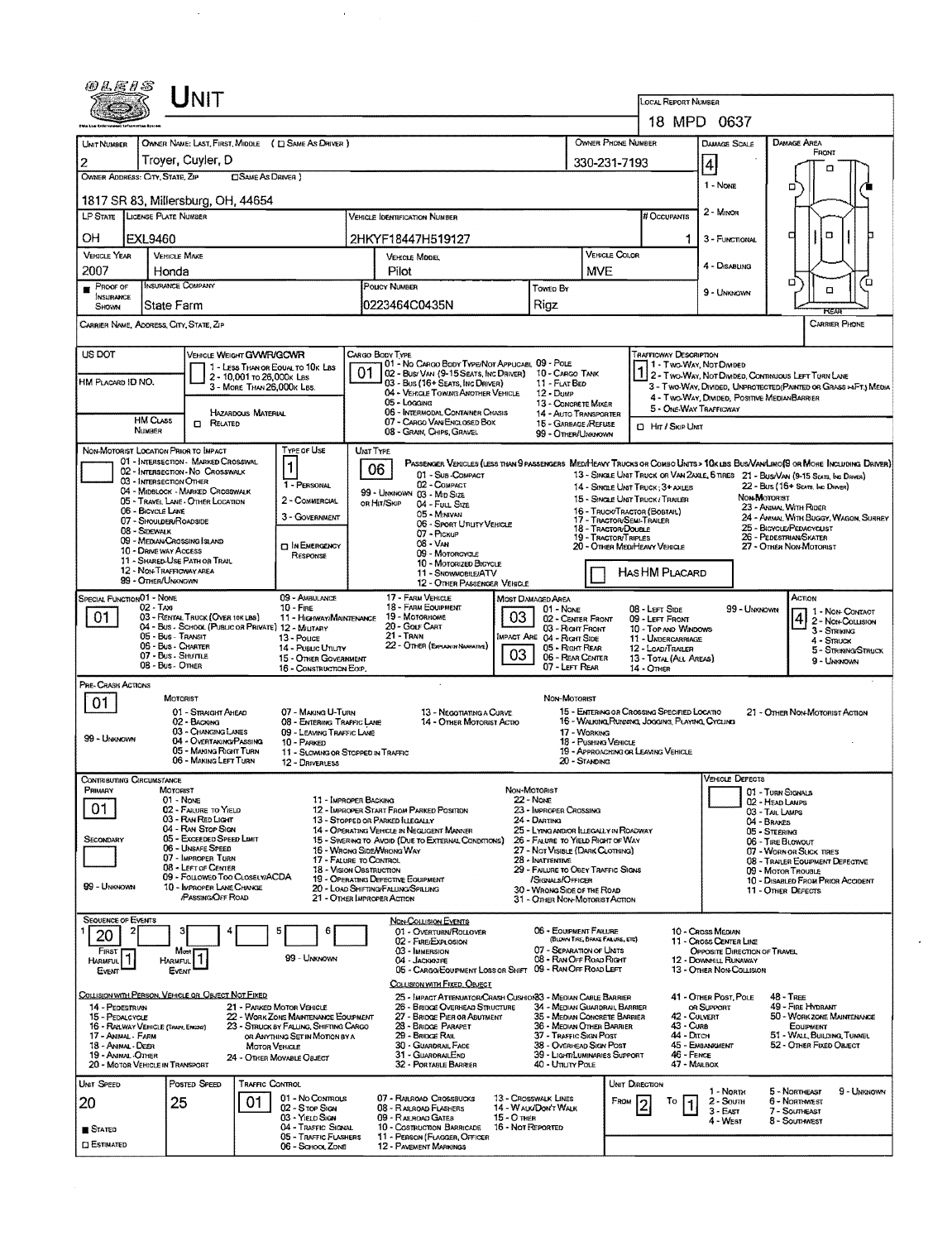| 0LE1S                                                                                                                                                      |                                                | JNIT                                                                    |                            |                                                      |                                                                                                                              |                                                                                                                                                          |                                                                                 |                                                                 |                     |                                                                  |                                                                                                                   |                                                                          |                                                                                                                                                                                                                     |  |  |  |
|------------------------------------------------------------------------------------------------------------------------------------------------------------|------------------------------------------------|-------------------------------------------------------------------------|----------------------------|------------------------------------------------------|------------------------------------------------------------------------------------------------------------------------------|----------------------------------------------------------------------------------------------------------------------------------------------------------|---------------------------------------------------------------------------------|-----------------------------------------------------------------|---------------------|------------------------------------------------------------------|-------------------------------------------------------------------------------------------------------------------|--------------------------------------------------------------------------|---------------------------------------------------------------------------------------------------------------------------------------------------------------------------------------------------------------------|--|--|--|
|                                                                                                                                                            |                                                |                                                                         |                            |                                                      |                                                                                                                              |                                                                                                                                                          |                                                                                 |                                                                 |                     |                                                                  | <b>LOCAL REPORT NUMBER</b><br>18 MPD 0637                                                                         |                                                                          |                                                                                                                                                                                                                     |  |  |  |
|                                                                                                                                                            |                                                |                                                                         |                            |                                                      |                                                                                                                              |                                                                                                                                                          |                                                                                 |                                                                 |                     |                                                                  |                                                                                                                   |                                                                          |                                                                                                                                                                                                                     |  |  |  |
| UNIT NUMBER                                                                                                                                                |                                                |                                                                         |                            | OWNER NAME: LAST, FIRST, MIDDLE ( E SAME AS DRIVER ) |                                                                                                                              |                                                                                                                                                          |                                                                                 | OWNER PHONE NUMBER                                              |                     | DAMAGE AREA<br>FRONT                                             |                                                                                                                   |                                                                          |                                                                                                                                                                                                                     |  |  |  |
| 2                                                                                                                                                          |                                                | Troyer, Cuyler, D                                                       |                            |                                                      |                                                                                                                              |                                                                                                                                                          |                                                                                 |                                                                 | 330-231-7193        |                                                                  |                                                                                                                   | 4                                                                        | о                                                                                                                                                                                                                   |  |  |  |
| OWNER ADDRESS: CITY, STATE, ZIP<br><b>CISAME AS DRIVER 1</b>                                                                                               |                                                |                                                                         |                            |                                                      |                                                                                                                              |                                                                                                                                                          |                                                                                 |                                                                 |                     |                                                                  |                                                                                                                   | 1 - None                                                                 | ۵                                                                                                                                                                                                                   |  |  |  |
| 1817 SR 83, Millersburg, OH, 44654                                                                                                                         |                                                |                                                                         |                            |                                                      |                                                                                                                              |                                                                                                                                                          |                                                                                 |                                                                 |                     |                                                                  |                                                                                                                   |                                                                          |                                                                                                                                                                                                                     |  |  |  |
| <b>LP STATE</b>                                                                                                                                            | LICENSE PLATE NUMBER                           |                                                                         |                            |                                                      |                                                                                                                              | <b>VEHICLE IDENTIFICATION NUMBER</b>                                                                                                                     |                                                                                 |                                                                 |                     |                                                                  | # OCCUPANTS                                                                                                       | 2 - MINOR                                                                |                                                                                                                                                                                                                     |  |  |  |
| OН                                                                                                                                                         | <b>EXL9460</b>                                 |                                                                         |                            |                                                      |                                                                                                                              | 2HKYF18447H519127                                                                                                                                        |                                                                                 |                                                                 |                     |                                                                  | 1                                                                                                                 | 3 - FUNCTIONAL                                                           | O<br>п                                                                                                                                                                                                              |  |  |  |
| <b>VEHICLE YEAR</b>                                                                                                                                        | <b>VEHICLE MAKE</b>                            |                                                                         |                            |                                                      |                                                                                                                              | <b>VEHICLE COLOR</b><br>VEHICLE MODEL                                                                                                                    |                                                                                 |                                                                 |                     |                                                                  |                                                                                                                   | 4 - DISABLING                                                            |                                                                                                                                                                                                                     |  |  |  |
| 2007                                                                                                                                                       | Honda<br><b>INSURANCE COMPANY</b>              |                                                                         |                            |                                                      |                                                                                                                              | <b>MVE</b><br>Pilot                                                                                                                                      |                                                                                 |                                                                 |                     |                                                                  |                                                                                                                   |                                                                          | o<br>Ъ                                                                                                                                                                                                              |  |  |  |
| PROOF OF<br>INSURANCE                                                                                                                                      |                                                |                                                                         |                            |                                                      |                                                                                                                              | <b>POLICY NUMBER</b>                                                                                                                                     |                                                                                 | Towen By                                                        |                     |                                                                  |                                                                                                                   | 9 - UNKNOWN                                                              | о                                                                                                                                                                                                                   |  |  |  |
| SHOWN                                                                                                                                                      | <b>State Farm</b>                              |                                                                         |                            |                                                      |                                                                                                                              | 0223464C0435N                                                                                                                                            |                                                                                 | Rigz                                                            |                     |                                                                  | HFAR                                                                                                              |                                                                          |                                                                                                                                                                                                                     |  |  |  |
| CARRIER NAME, ADDRESS, CITY, STATE, ZIP                                                                                                                    |                                                |                                                                         |                            |                                                      |                                                                                                                              |                                                                                                                                                          |                                                                                 |                                                                 |                     |                                                                  |                                                                                                                   |                                                                          | CARRIER PHONE                                                                                                                                                                                                       |  |  |  |
| <b>US DOT</b>                                                                                                                                              |                                                | VEHICLE WEIGHT GWWR/GCWR                                                |                            |                                                      |                                                                                                                              | CARGO BODY TYPE                                                                                                                                          |                                                                                 |                                                                 |                     |                                                                  | <b>TRAFFICWAY DESCRIPTION</b>                                                                                     |                                                                          |                                                                                                                                                                                                                     |  |  |  |
|                                                                                                                                                            |                                                |                                                                         | 2 - 10,001 to 26,000k Las  | 1 - LESS THAN OR EQUAL TO 10K LBS                    |                                                                                                                              | 01 - No CARGO BODY TYPE/NOT APPLICABL 09 - POLE<br>02 - Bus/VAN (9-15 SEATS, INC DRIVER) 10 - CARGO TANK                                                 |                                                                                 |                                                                 |                     |                                                                  | 1 - Two-Way, Not Divided<br>2 - Two-Way, Not Divideo, Cominauous Left Turn Lane                                   |                                                                          |                                                                                                                                                                                                                     |  |  |  |
| HM PLACARD ID NO.                                                                                                                                          |                                                |                                                                         | 3 - MORE THAN 26,000K LBS. |                                                      |                                                                                                                              | 03 - Bus (16+ Seats, Inc Driver)<br>04 - VEHICLE TOWING ANOTHER VEHICLE                                                                                  |                                                                                 | 11 - FLAT BED<br>$12 - D$ use                                   |                     |                                                                  | 3 - Two-Way, Divided, UNPROTECTED (PAINTED OR GRASS > AFT.) MEDIA<br>4 - TWO-WAY, DIVIDED, POSITIVE MEDIANBARRIER |                                                                          |                                                                                                                                                                                                                     |  |  |  |
|                                                                                                                                                            |                                                |                                                                         | <b>HAZARDOUS MATERIAL</b>  |                                                      |                                                                                                                              | 05 - Logging<br>06 - INTERMODAL CONTAINER CHASIS                                                                                                         |                                                                                 | 13 - CONCRETE MIXER<br>14 - AUTO TRANSPORTER                    |                     |                                                                  | 5 - ONE-WAY TRAFFICWAY                                                                                            |                                                                          |                                                                                                                                                                                                                     |  |  |  |
|                                                                                                                                                            | <b>HM CLASS</b><br><b>NUMBER</b>               | <b>D</b> RELATED                                                        |                            |                                                      |                                                                                                                              | 07 - CARGO VAN/ENGLOSED BOX<br>08 - GRAIN, CHIPS, GRAVEL                                                                                                 |                                                                                 | 15 - GARBAGE /REFUSE<br>99 - OTHER/UNKNOWN                      |                     |                                                                  | <b>D</b> Hr / Skip Unst                                                                                           |                                                                          |                                                                                                                                                                                                                     |  |  |  |
| NON-MOTORIST LOCATION PRIOR TO IMPACT                                                                                                                      |                                                |                                                                         |                            | Type of Use                                          |                                                                                                                              | UNIT TYPE                                                                                                                                                |                                                                                 |                                                                 |                     |                                                                  |                                                                                                                   |                                                                          |                                                                                                                                                                                                                     |  |  |  |
|                                                                                                                                                            |                                                | 01 - INTERSECTION - MARKED CROSSWAL<br>02 - INTERSECTION - NO CROSSWALK |                            | $\vert$ 1                                            |                                                                                                                              | 06<br>01 - Sub-COMPACT                                                                                                                                   |                                                                                 |                                                                 |                     |                                                                  |                                                                                                                   |                                                                          | PASSENGER VENICLES (LESS THAN 9 PASSENGERS MED/HEAVY TRUCKS OR COMBO UNITS > 10K LBS BUS/VAN/LIMO(9 OR MORE INCLUDING DRIVER)<br>13 - SINGLE UNIT TRUCK OR VAN 2AXLE, 6 TIRES 21 - BUS/VAN (9-15 SEATS, INC DRIVER) |  |  |  |
|                                                                                                                                                            | 03 - INTERSECTION OTHER                        | 04 - MIDBLOCK - MARKED CROSSWALK                                        |                            | 1 - PERSONAL                                         |                                                                                                                              | 02 - COMPACT<br>99 - UMMOWN 03 - Mid SIZE                                                                                                                |                                                                                 |                                                                 |                     |                                                                  | 14 - SINGLE UNIT TRUCK: 3+ AXLES                                                                                  |                                                                          | 22 - Bus (16+ Seats, Inc. Draver)                                                                                                                                                                                   |  |  |  |
|                                                                                                                                                            | 06 - BICYCLE LANE                              | 05 - TRAVEL LANE - OTHER LOCATION                                       |                            | 2 - COMMERCIAL                                       |                                                                                                                              | OR HIT/SKIP<br>04 - Full Size                                                                                                                            |                                                                                 |                                                                 |                     |                                                                  | 15 - SINGLE UNIT TRUCK / TRAILER<br>16 - TRUCK/TRACTOR (BOBTAIL)                                                  |                                                                          | NON-MOTORIST<br>23 - Animal With Rider                                                                                                                                                                              |  |  |  |
|                                                                                                                                                            | 07 - SHOULDER/ROADSIDE<br>08 - SOEWALK         |                                                                         |                            | 3 - GOVERNMENT                                       |                                                                                                                              | 05 - MINIVAN<br>06 - Sport Unuty Vehicle                                                                                                                 |                                                                                 |                                                                 | 18 - Tractor/Double |                                                                  | 17 - TRACTOR/SEMI-TRAILER                                                                                         |                                                                          | 24 - AMMAL WITH BUGGY, WAGON, SURREY<br>25 - BICYCLE/PEDACYCLIST                                                                                                                                                    |  |  |  |
|                                                                                                                                                            |                                                | 09 - MEDIAN CROSSING ISLAND                                             |                            | <b>n</b> In EMERGENCY                                |                                                                                                                              | 07 - PICKUP<br><b>19 - TRACTOR/TRIPLES</b><br>$08 - VAM$                                                                                                 |                                                                                 |                                                                 |                     |                                                                  | 26 - PEDESTRIAN/SKATER<br>20 - OTHER MEDIHEAVY VEHICLE<br>27 - OTHER NON-MOTORIST                                 |                                                                          |                                                                                                                                                                                                                     |  |  |  |
|                                                                                                                                                            | 10 - DRIVE WAY ACCESS                          | 11 - SHARED-USE PATH OR TRAIL                                           |                            | RESPONSE                                             |                                                                                                                              | 09 - MOTORCYCLE<br>10 - MOTORIZED BICYCLE                                                                                                                |                                                                                 |                                                                 |                     |                                                                  |                                                                                                                   |                                                                          |                                                                                                                                                                                                                     |  |  |  |
|                                                                                                                                                            | 12 - NON-TRAFFICWAY AREA<br>99 - OTHER/UNKNOWN |                                                                         |                            |                                                      |                                                                                                                              | 11 - SNOWMOBILE/ATV<br>12 - OTHER PASSENGER VEHICLE                                                                                                      |                                                                                 |                                                                 |                     |                                                                  | Has HM Placard                                                                                                    |                                                                          |                                                                                                                                                                                                                     |  |  |  |
| SPECIAL FUNCTION 01 - NONE                                                                                                                                 |                                                |                                                                         |                            | 09 - AMBULANCE                                       | 17 - FARM VEHICLE<br>18 - FARM EQUIPMENT                                                                                     | Most Damaged Area                                                                                                                                        |                                                                                 |                                                                 |                     |                                                                  |                                                                                                                   | ACTION                                                                   |                                                                                                                                                                                                                     |  |  |  |
| 02 - TAXI<br><b>10 - FIRE</b><br>01<br>03 - RENTAL TRUCK (OVER 10K LBS)<br>11 - HIGHWAY/MAINTENANCE<br>04 - BUS - SCHOOL (PUBLIC OR PRIVATE) 12 - MILITARY |                                                |                                                                         |                            |                                                      |                                                                                                                              | 19 - MOTORHOME<br>20 - Golf CART                                                                                                                         | 03                                                                              | 01 - None<br>02 - CENTER FRONT                                  |                     |                                                                  | 08 - LEFT SIDE<br>09 - LEFT FRONT                                                                                 | 99 - UNKNOWN                                                             | 1 - Non-Contact<br>4<br>2 - Non-Collision                                                                                                                                                                           |  |  |  |
|                                                                                                                                                            | 05 - Bus - Transit                             |                                                                         |                            | 13 - Pouce                                           |                                                                                                                              | 21 - TRAIN                                                                                                                                               |                                                                                 | 03 - Right Front<br>IMPACT ARE 04 - RIGHT SIDE                  |                     |                                                                  | 10 - TOP AND WINDOWS<br>11 UNDERCARRIAGE                                                                          |                                                                          | 3 - STRIKING<br>4 - STRUCK                                                                                                                                                                                          |  |  |  |
|                                                                                                                                                            | 06 - Bus - Charter<br>07 - Bus Shumue          |                                                                         |                            | 14 - Pueuc Unury<br>15 - OTHER GOVERNMENT            |                                                                                                                              | 22 - OTHER (EXPLAN IN NARRATIVE)                                                                                                                         | 03                                                                              | 05 - Right Rear<br>06 - REAR CENTER                             |                     |                                                                  | 12 - LOAD/TRAILER<br>13 - TOTAL (ALL AREAS)                                                                       |                                                                          | 5 - STRIKING/STRUCK<br>9 - Unknown                                                                                                                                                                                  |  |  |  |
|                                                                                                                                                            | 08 - Bus - Omer                                |                                                                         |                            | 16 - CONSTRUCTION EOIP.                              |                                                                                                                              |                                                                                                                                                          |                                                                                 | 07 - LEFT REAR                                                  |                     |                                                                  | 14 - Отнев                                                                                                        |                                                                          |                                                                                                                                                                                                                     |  |  |  |
| PRE- CRASH ACTIONS                                                                                                                                         |                                                | MOTORIST                                                                |                            |                                                      |                                                                                                                              |                                                                                                                                                          |                                                                                 | NON-MOTORIST                                                    |                     |                                                                  |                                                                                                                   |                                                                          |                                                                                                                                                                                                                     |  |  |  |
| 01                                                                                                                                                         |                                                | 01 - STRAIGHT AHEAD<br>02 - BACKING                                     |                            | 07 - MAKING U-TURN<br>08 - ENTERING TRAFFIC LANE     |                                                                                                                              | 13 - NEGOTIATING A CURVE<br>14 - OTHER MOTORIST ACTIO                                                                                                    |                                                                                 |                                                                 |                     |                                                                  | 15 - ENTERING OR CROSSING SPECIFIED LOCATIO                                                                       |                                                                          | 21 - OTHER NON-MOTORIST ACTION                                                                                                                                                                                      |  |  |  |
| 99 - UNKNOWN                                                                                                                                               |                                                | 03 - CHANGING LANES<br>04 - OVERTAKING/PASSING                          |                            | 09 - LEAVING TRAFFIC LANE                            |                                                                                                                              |                                                                                                                                                          |                                                                                 | 16 - WALKING RUNNING, JOGGING, PLAYING, CYCLING<br>17 - WORKING |                     |                                                                  |                                                                                                                   |                                                                          |                                                                                                                                                                                                                     |  |  |  |
|                                                                                                                                                            |                                                | 05 - MAKING RIGHT TURN                                                  |                            | 10 - PARKED<br>11 - SLOWING OR STOPPED IN TRAFFIC    |                                                                                                                              | 18 - Pushing Venicle<br>19 - APPROACHING OR LEAVING VEHICLE<br>20 - Standing                                                                             |                                                                                 |                                                                 |                     |                                                                  |                                                                                                                   |                                                                          |                                                                                                                                                                                                                     |  |  |  |
| <b>CONTRIBUTING CIRCUMSTANCE</b>                                                                                                                           |                                                | 06 - MAKING LEFT TURN                                                   |                            | 12 - DRIVERLESS                                      |                                                                                                                              |                                                                                                                                                          |                                                                                 |                                                                 |                     |                                                                  |                                                                                                                   | <b>VEHICLE DEFECTS</b>                                                   |                                                                                                                                                                                                                     |  |  |  |
| Primary                                                                                                                                                    | MOTORIST                                       |                                                                         |                            |                                                      |                                                                                                                              |                                                                                                                                                          | Non-Motorist                                                                    |                                                                 |                     |                                                                  |                                                                                                                   |                                                                          | 01 - TURN SIGNALS                                                                                                                                                                                                   |  |  |  |
| 01                                                                                                                                                         |                                                | 01 - None<br>02 - FAILURE TO YIELD                                      |                            | 11 - IMPROPER BACKING                                |                                                                                                                              | 12 - IMPROPER START FROM PARKED POSITION                                                                                                                 | 22 - None                                                                       | 23 - IMPROPER CROSSING                                          |                     |                                                                  |                                                                                                                   |                                                                          | 02 - HEAD LAMPS<br>03 - TAIL LAMPS                                                                                                                                                                                  |  |  |  |
|                                                                                                                                                            |                                                | 03 - RAN RED LIGHT<br>04 - RAN Stop Ston                                |                            |                                                      |                                                                                                                              | 13 - Stopped or Parked LLEGALLY<br>24 - DARTING<br>14 - Operating Vehicle in Negligent MANNER<br>25 - LYING AND/OR LLEGALLY IN ROADWAY                   |                                                                                 |                                                                 |                     |                                                                  | 04 - BRAKES<br>05 - STEERING                                                                                      |                                                                          |                                                                                                                                                                                                                     |  |  |  |
| SECONDARY                                                                                                                                                  |                                                | 05 - Exceeded Speed Limit<br>06 - Unsafe Speed                          |                            |                                                      |                                                                                                                              | 15 - Swering to Avoid (Due to External Conditions)<br>26 - FALURE TO YIELD RIGHT OF WAY<br>16 - WRONG SIDENVRONG WAY<br>27 - NOT VISIBLE (DARK CLOTHING) |                                                                                 |                                                                 |                     |                                                                  |                                                                                                                   | 06 - TIRE BLOWOUT<br>07 - WORN OR SUCK TIRES                             |                                                                                                                                                                                                                     |  |  |  |
|                                                                                                                                                            |                                                | 07 - IMPROPER TURN<br>08 - LEFT OF CENTER                               |                            |                                                      |                                                                                                                              | 17 - FALURE TO CONTROL<br>28 - Inattentive<br><b>18 - VISION OBSTRUCTION</b><br>29 - FAILURE TO OBEY TRAFFIC SIGNS                                       |                                                                                 |                                                                 |                     |                                                                  |                                                                                                                   | 08 - TRAILER EQUIPMENT DEFECTIVE<br>09 - Motor TroubLE                   |                                                                                                                                                                                                                     |  |  |  |
| 99 - UNKNOWN                                                                                                                                               |                                                | 09 - FOLLOWED TOO CLOSELY/ACDA<br>10 - IMPROPER LANE CHANGE             |                            |                                                      | 19 - OPERATING DEFECTIVE EQUIPMENT<br>/SIGNALS/OFFICER<br>20 - LOAD SHIFTING/FALLING/SPILLING<br>30 - WRONG SIDE OF THE ROAD |                                                                                                                                                          |                                                                                 |                                                                 |                     |                                                                  |                                                                                                                   | 10 - DISABLED FROM PRIOR ACCIDENT<br>11 - OTHER DEFECTS                  |                                                                                                                                                                                                                     |  |  |  |
|                                                                                                                                                            |                                                | <b>PASSING OFF ROAD</b>                                                 |                            |                                                      |                                                                                                                              | 21 - Other Improper Action                                                                                                                               |                                                                                 | 31 - OTHER NON-MOTORIST ACTION                                  |                     |                                                                  |                                                                                                                   |                                                                          |                                                                                                                                                                                                                     |  |  |  |
| <b>SEQUENCE OF EVENTS</b>                                                                                                                                  |                                                |                                                                         |                            |                                                      |                                                                                                                              | <b>NON-COLLISION EVENTS</b><br>01 - Overturn/Rollover                                                                                                    |                                                                                 | 06 - EQUIPMENT FAILURE                                          |                     |                                                                  |                                                                                                                   | 10 - Cross Median                                                        |                                                                                                                                                                                                                     |  |  |  |
| 20                                                                                                                                                         |                                                |                                                                         |                            |                                                      |                                                                                                                              | 02 - FIRE/EXPLOSION<br>03 - IMMERSION                                                                                                                    |                                                                                 | (BLOWN TIRE, BRANE FAILURE, ETC)<br>07 - SEPARATION OF UNITS    |                     |                                                                  |                                                                                                                   | 11 - Cross CENTER LINE<br>OPPOSITE DIRECTION OF TRAVEL                   |                                                                                                                                                                                                                     |  |  |  |
| FIRST<br>Harmful                                                                                                                                           | <b>HARMFUL</b>                                 | Most                                                                    |                            | 99 - UNKNOWN                                         |                                                                                                                              | 04 - JACKKNTFE                                                                                                                                           |                                                                                 | 08 - RAN OFF ROAD RIGHT                                         |                     |                                                                  |                                                                                                                   | 12 - DOWNHILL RUNAWAY                                                    |                                                                                                                                                                                                                     |  |  |  |
| Event                                                                                                                                                      | Event                                          |                                                                         |                            |                                                      |                                                                                                                              | 05 - CARGO/EQUIPMENT LOSS OR SHIFT 09 - RAN OFF ROAD LEFT<br>COLLISION WITH FIXED, OBJECT                                                                |                                                                                 |                                                                 |                     |                                                                  |                                                                                                                   | 13 - OTHER NON-COLLISION                                                 |                                                                                                                                                                                                                     |  |  |  |
| COLLISION WITH PERSON, VEHICLE OR OBJECT NOT FIXED                                                                                                         |                                                |                                                                         |                            |                                                      |                                                                                                                              | 25 - Impact Attenuator/Crash Cushion33 - Median Cable Barrier                                                                                            |                                                                                 | 34 - MEDIAN GUARDRAIL BARRIER                                   |                     |                                                                  |                                                                                                                   | 41 - OTHER POST, POLE                                                    | <b>48 - TREE</b><br>49 - FIRE HYDRANT                                                                                                                                                                               |  |  |  |
| 21 - PARKED MOTOR VEHICLE<br>14 - PEDESTRIAN<br>22 - WORK ZONE MAINTENANCE EQUIPMENT<br>15 - PEDALCYCLE                                                    |                                                |                                                                         |                            |                                                      |                                                                                                                              | 26 - BRIDGE OVERHEAD STRUCTURE<br>27 - BRIDGE PIER OR ABUTMENT                                                                                           |                                                                                 | 35 - MEDIAN CONCRETE BARRIER                                    |                     |                                                                  | 42 - CULVERT<br>43 - Curs                                                                                         | OR SUPPORT                                                               | 50 - WORK ZONE MAINTENANCE                                                                                                                                                                                          |  |  |  |
| 16 - RAILWAY VEHICLE (TRAIN, ENGRE)<br>23 - STRUCK BY FALLING, SHIFTING CARGO<br>17 - Animal - Farm<br>OR ANYTHING SET IN MOTION BY A                      |                                                |                                                                         |                            |                                                      |                                                                                                                              | 28 - BRIDGE PARAPET<br>29 - BRIDGE RAIL                                                                                                                  |                                                                                 |                                                                 |                     | 36 - MEDIAN OTHER BARRIER<br>44 - Олсн<br>37 - TRAFFIC SIGN POST |                                                                                                                   |                                                                          | <b>EQUIPMENT</b><br>51 - WALL, BUILDING, TUMMEL                                                                                                                                                                     |  |  |  |
| 18 - Animal - Deer<br>19 - Animal - Other                                                                                                                  |                                                |                                                                         | <b>MOTOR VEHICLE</b>       | 24 - OTHER MOVABLE OBJECT                            |                                                                                                                              | 31 - Guaroral End                                                                                                                                        | 30 - GUARDRAIL FACE<br>38 - Overheap Sign Post<br>39 - LIGHT/LUMINARIES SUPPORT |                                                                 |                     |                                                                  |                                                                                                                   | 45 - EMBANKMENT<br>52 - OTHER FIXED OBJECT<br>46 - FENCE<br>47 - MAILBOX |                                                                                                                                                                                                                     |  |  |  |
| 20 - MOTOR VEHICLE IN TRANSPORT                                                                                                                            |                                                | Posted Speed                                                            | Traffic Control            |                                                      |                                                                                                                              | 32 - PORTABLE BARRIER                                                                                                                                    |                                                                                 | 40 - Unury Pole                                                 |                     |                                                                  |                                                                                                                   |                                                                          |                                                                                                                                                                                                                     |  |  |  |
| <b>UNIT SPEED</b>                                                                                                                                          |                                                |                                                                         | 01                         | 01 - No CONTROLS                                     |                                                                                                                              | 07 - RAILROAD CROSSBUCKS                                                                                                                                 | 13 - Crosswalk Lines                                                            |                                                                 |                     | UNIT DIRECTION<br>FROM                                           | To                                                                                                                | 1 - Norm<br>2 - South                                                    | 5 - Northeast<br>9 - UNKNOWN<br>6 - Northwest                                                                                                                                                                       |  |  |  |
| 20                                                                                                                                                         | 25                                             |                                                                         |                            | 02 - Stop Sign<br>03 - YIELD SIGN                    |                                                                                                                              | 08 - RAILROAD FLASHERS<br>09 - RAILROAD GATES                                                                                                            | 14 - WAUK/DON'T WALK<br>15 - О тиев                                             |                                                                 |                     |                                                                  |                                                                                                                   | $3 - E$ AST<br>4 - West                                                  | 7 - Southeast                                                                                                                                                                                                       |  |  |  |
| STATED                                                                                                                                                     |                                                |                                                                         |                            | 04 - TRAFFIC SIGNAL<br>05 - TRAFFIC FLASHERS         |                                                                                                                              | 10 - Costruction Barricade<br>11 - PERSON (FLAGGER, OFFICER                                                                                              | 16 - Not Reported                                                               |                                                                 |                     |                                                                  |                                                                                                                   |                                                                          | 8 - Southwest                                                                                                                                                                                                       |  |  |  |
| <b>CI ESTIMATED</b>                                                                                                                                        |                                                |                                                                         |                            | 06 - SCHOOL ZONE                                     |                                                                                                                              | <b>12 - PAVEMENT MARKINGS</b>                                                                                                                            |                                                                                 |                                                                 |                     |                                                                  |                                                                                                                   |                                                                          |                                                                                                                                                                                                                     |  |  |  |

 $\sim 10$ 

 $\mathcal{L}^{\text{max}}_{\text{max}}$  and  $\mathcal{L}^{\text{max}}_{\text{max}}$